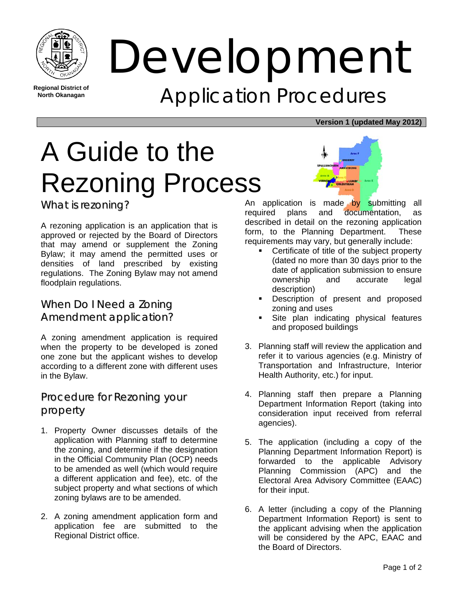

**Regional District of North Okanagan** 

Development Application Procedures

#### **Version 1 (updated May 2012)**

# A Guide to the Rezoning Process

What is rezoning?

A rezoning application is an application that is approved or rejected by the Board of Directors that may amend or supplement the Zoning Bylaw; it may amend the permitted uses or densities of land prescribed by existing regulations. The Zoning Bylaw may not amend floodplain regulations.

#### When Do I Need a Zoning Amendment application?

A zoning amendment application is required when the property to be developed is zoned one zone but the applicant wishes to develop according to a different zone with different uses in the Bylaw.

#### Procedure for Rezoning your property

- 1. Property Owner discusses details of the application with Planning staff to determine the zoning, and determine if the designation in the Official Community Plan (OCP) needs to be amended as well (which would require a different application and fee), etc. of the subject property and what sections of which zoning bylaws are to be amended.
- 2. A zoning amendment application form and application fee are submitted to the Regional District office.



An application is made by submitting all required plans and documentation, as described in detail on the rezoning application form, to the Planning Department. These requirements may vary, but generally include:

- Certificate of title of the subject property (dated no more than 30 days prior to the date of application submission to ensure ownership and accurate legal description)
- Description of present and proposed zoning and uses
- Site plan indicating physical features and proposed buildings
- 3. Planning staff will review the application and refer it to various agencies (e.g. Ministry of Transportation and Infrastructure, Interior Health Authority, etc.) for input.
- 4. Planning staff then prepare a Planning Department Information Report (taking into consideration input received from referral agencies).
- 5. The application (including a copy of the Planning Department Information Report) is forwarded to the applicable Advisory Planning Commission (APC) and the Electoral Area Advisory Committee (EAAC) for their input.
- 6. A letter (including a copy of the Planning Department Information Report) is sent to the applicant advising when the application will be considered by the APC, EAAC and the Board of Directors.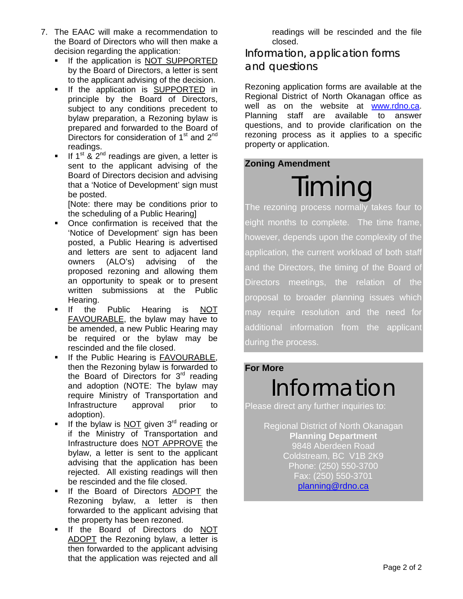- 7. The EAAC will make a recommendation to the Board of Directors who will then make a decision regarding the application:
	- If the application is NOT SUPPORTED by the Board of Directors, a letter is sent to the applicant advising of the decision.
	- **If the application is SUPPORTED in** principle by the Board of Directors, subject to any conditions precedent to bylaw preparation, a Rezoning bylaw is prepared and forwarded to the Board of Directors for consideration of  $1<sup>st</sup>$  and  $2<sup>nd</sup>$ readings.
	- If 1<sup>st</sup> & 2<sup>nd</sup> readings are given, a letter is sent to the applicant advising of the Board of Directors decision and advising that a 'Notice of Development' sign must be posted.

[Note: there may be conditions prior to the scheduling of a Public Hearing]

- Once confirmation is received that the 'Notice of Development' sign has been posted, a Public Hearing is advertised and letters are sent to adjacent land owners (ALO's) advising of the proposed rezoning and allowing them an opportunity to speak or to present written submissions at the Public Hearing.
- If the Public Hearing is NOT FAVOURABLE, the bylaw may have to be amended, a new Public Hearing may be required or the bylaw may be rescinded and the file closed.
- If the Public Hearing is FAVOURABLE, then the Rezoning bylaw is forwarded to the Board of Directors for 3<sup>rd</sup> reading and adoption (NOTE: The bylaw may require Ministry of Transportation and Infrastructure approval prior to adoption).
- If the bylaw is NOT given 3<sup>rd</sup> reading or if the Ministry of Transportation and Infrastructure does NOT APPROVE the bylaw, a letter is sent to the applicant advising that the application has been rejected. All existing readings will then be rescinded and the file closed.
- If the Board of Directors ADOPT the Rezoning bylaw, a letter is then forwarded to the applicant advising that the property has been rezoned.
- If the Board of Directors do NOT ADOPT the Rezoning bylaw, a letter is then forwarded to the applicant advising that the application was rejected and all

readings will be rescinded and the file closed.

#### Information, application forms and questions

Rezoning application forms are available at the Regional District of North Okanagan office as well as on the website at www.rdno.ca. Planning staff are available to answer questions, and to provide clarification on the rezoning process as it applies to a specific property or application.

#### **Zoning Amendment**



The rezoning process normally takes four to eight months to complete. The time frame, however, depends upon the complexity of the application, the current workload of both staff and the Directors, the timing of the Board of Directors meetings, the relation of the proposal to broader planning issues which may require resolution and the need for additional information from the applicant during the process.

#### **For More**

## Information

Please direct any further inquiries to:

Regional District of North Okanagan **Planning Department**  9848 Aberdeen Road Coldstream, BC V1B 2K9 Phone: (250) 550-3700 Fax: (250) 550-3701 planning@rdno.ca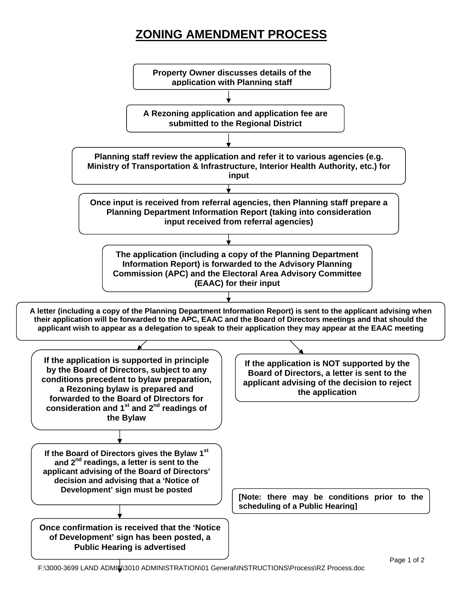## **ZONING AMENDMENT PROCESS**